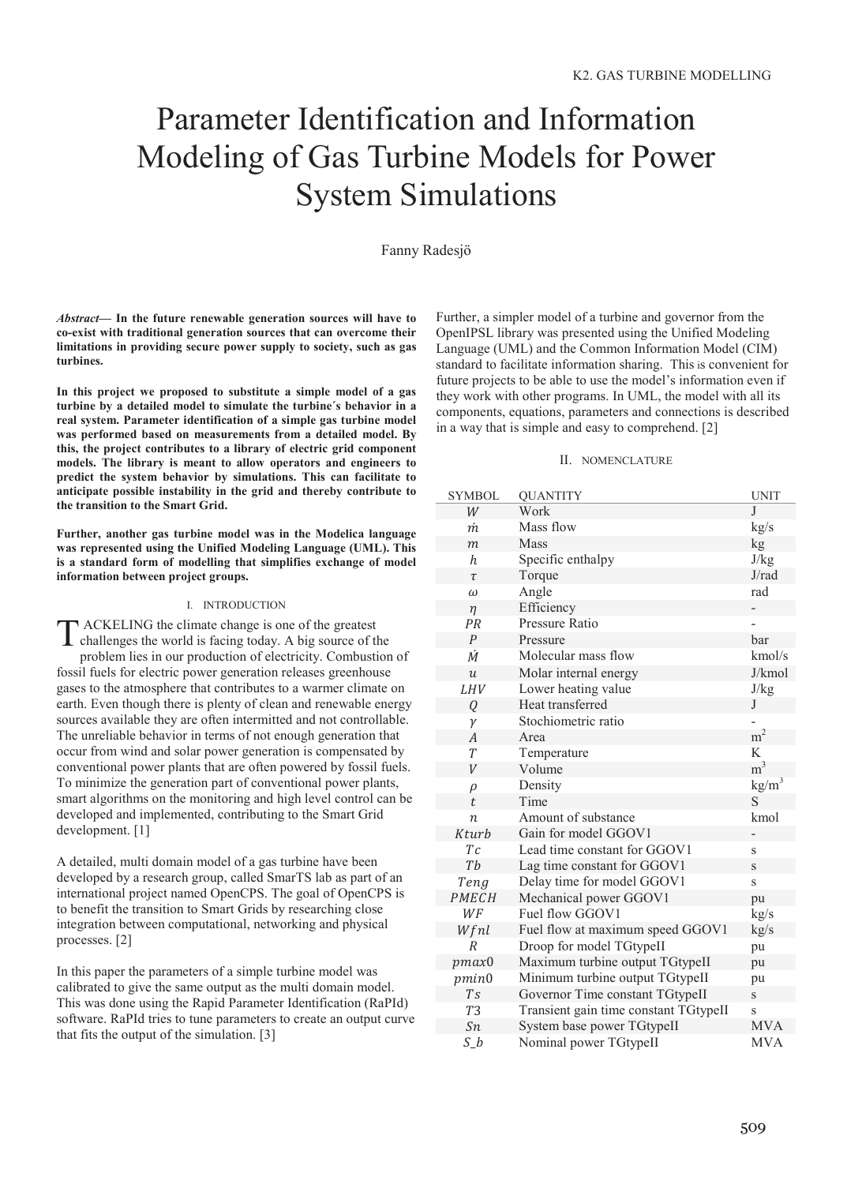# Parameter Identification and Information Modeling of Gas Turbine Models for Power System Simulations

# Fanny Radesjö

*Abstract***— In the future renewable generation sources will have to co-exist with traditional generation sources that can overcome their limitations in providing secure power supply to society, such as gas turbines.**

**In this project we proposed to substitute a simple model of a gas turbine by a detailed model to simulate the turbine´s behavior in a real system. Parameter identification of a simple gas turbine model was performed based on measurements from a detailed model. By this, the project contributes to a library of electric grid component models. The library is meant to allow operators and engineers to predict the system behavior by simulations. This can facilitate to anticipate possible instability in the grid and thereby contribute to the transition to the Smart Grid.**

**Further, another gas turbine model was in the Modelica language was represented using the Unified Modeling Language (UML). This is a standard form of modelling that simplifies exchange of model information between project groups.**

#### I. INTRODUCTION

ACKELING the climate change is one of the greatest challenges the world is facing today. A big source of the problem lies in our production of electricity. Combustion of fossil fuels for electric power generation releases greenhouse gases to the atmosphere that contributes to a warmer climate on earth. Even though there is plenty of clean and renewable energy sources available they are often intermitted and not controllable. The unreliable behavior in terms of not enough generation that occur from wind and solar power generation is compensated by conventional power plants that are often powered by fossil fuels. To minimize the generation part of conventional power plants, smart algorithms on the monitoring and high level control can be developed and implemented, contributing to the Smart Grid development. [1] T

A detailed, multi domain model of a gas turbine have been developed by a research group, called SmarTS lab as part of an international project named OpenCPS. The goal of OpenCPS is to benefit the transition to Smart Grids by researching close integration between computational, networking and physical processes. [2]

In this paper the parameters of a simple turbine model was calibrated to give the same output as the multi domain model. This was done using the Rapid Parameter Identification (RaPId) software. RaPId tries to tune parameters to create an output curve that fits the output of the simulation. [3]

Further, a simpler model of a turbine and governor from the OpenIPSL library was presented using the Unified Modeling Language (UML) and the Common Information Model (CIM) standard to facilitate information sharing. This is convenient for future projects to be able to use the model's information even if they work with other programs. In UML, the model with all its components, equations, parameters and connections is described in a way that is simple and easy to comprehend. [2]

#### II. NOMENCLATURE

| <b>SYMBOL</b>    | <b>QUANTITY</b>                       | <b>UNIT</b>       |
|------------------|---------------------------------------|-------------------|
| W                | Work                                  | J                 |
| m                | Mass flow                             | kg/s              |
| $\boldsymbol{m}$ | Mass                                  | kg                |
| $\boldsymbol{h}$ | Specific enthalpy                     | J/kg              |
| $\tau$           | Torque                                | J/rad             |
| $\omega$         | Angle                                 | rad               |
| $\eta$           | Efficiency                            |                   |
| PR               | Pressure Ratio                        |                   |
| $\boldsymbol{P}$ | Pressure                              | bar               |
| $\dot{M}$        | Molecular mass flow                   | kmol/s            |
| $\boldsymbol{u}$ | Molar internal energy                 | J/kmol            |
| LHV              | Lower heating value                   | J/kg              |
| Q                | Heat transferred                      | J                 |
| $\gamma$         | Stochiometric ratio                   |                   |
| $\boldsymbol{A}$ | Area                                  | m <sup>2</sup>    |
| T                | Temperature                           | K                 |
| V                | Volume                                | m <sup>3</sup>    |
| $\rho$           | Density                               | kg/m <sup>3</sup> |
| t                | Time                                  | S                 |
| $\boldsymbol{n}$ | Amount of substance                   | kmol              |
| Kturb            | Gain for model GGOV1                  |                   |
| Тc               | Lead time constant for GGOV1          | S                 |
| Tb               | Lag time constant for GGOV1           | S                 |
| Teng             | Delay time for model GGOV1            | S                 |
| PMECH            | Mechanical power GGOV1                | pu                |
| WF               | Fuel flow GGOV1                       | kg/s              |
| Wfnl             | Fuel flow at maximum speed GGOV1      | kg/s              |
| $\overline{R}$   | Droop for model TGtypeII              | pu                |
| pmax0            | Maximum turbine output TGtypeII       | pu                |
| pmin0            | Minimum turbine output TGtypeII       | pu                |
| T <sub>S</sub>   | Governor Time constant TGtypeII       | S                 |
| <b>T3</b>        | Transient gain time constant TGtypeII | S                 |
| Sn               | System base power TGtypeII            | <b>MVA</b>        |
| S <sub>b</sub>   | Nominal power TGtypeII                | <b>MVA</b>        |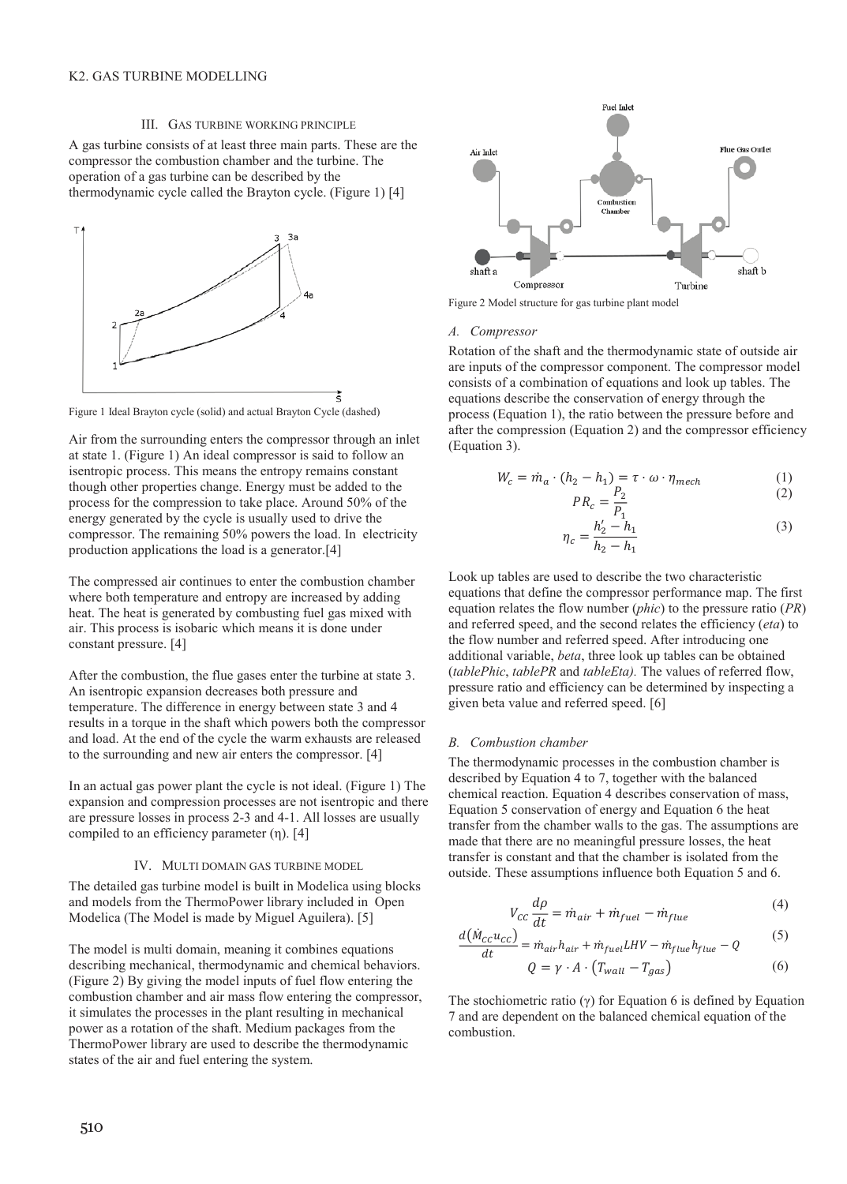#### III. GAS TURBINE WORKING PRINCIPLE

A gas turbine consists of at least three main parts. These are the compressor the combustion chamber and the turbine. The operation of a gas turbine can be described by the thermodynamic cycle called the Brayton cycle. (Figure 1) [4]



Figure 1 Ideal Brayton cycle (solid) and actual Brayton Cycle (dashed)

Air from the surrounding enters the compressor through an inlet at state 1. (Figure 1) An ideal compressor is said to follow an isentropic process. This means the entropy remains constant though other properties change. Energy must be added to the process for the compression to take place. Around 50% of the energy generated by the cycle is usually used to drive the compressor. The remaining 50% powers the load. In electricity production applications the load is a generator.[4]

The compressed air continues to enter the combustion chamber where both temperature and entropy are increased by adding heat. The heat is generated by combusting fuel gas mixed with air. This process is isobaric which means it is done under constant pressure. [4]

After the combustion, the flue gases enter the turbine at state 3. An isentropic expansion decreases both pressure and temperature. The difference in energy between state 3 and 4 results in a torque in the shaft which powers both the compressor and load. At the end of the cycle the warm exhausts are released to the surrounding and new air enters the compressor. [4]

In an actual gas power plant the cycle is not ideal. (Figure 1) The expansion and compression processes are not isentropic and there are pressure losses in process 2-3 and 4-1. All losses are usually compiled to an efficiency parameter  $(\eta)$ . [4]

#### IV. MULTI DOMAIN GAS TURBINE MODEL

The detailed gas turbine model is built in Modelica using blocks and models from the ThermoPower library included in Open Modelica (The Model is made by Miguel Aguilera). [5]

The model is multi domain, meaning it combines equations describing mechanical, thermodynamic and chemical behaviors. (Figure 2) By giving the model inputs of fuel flow entering the combustion chamber and air mass flow entering the compressor, it simulates the processes in the plant resulting in mechanical power as a rotation of the shaft. Medium packages from the ThermoPower library are used to describe the thermodynamic states of the air and fuel entering the system.



Figure 2 Model structure for gas turbine plant model

#### *A. Compressor*

Rotation of the shaft and the thermodynamic state of outside air are inputs of the compressor component. The compressor model consists of a combination of equations and look up tables. The equations describe the conservation of energy through the process (Equation 1), the ratio between the pressure before and after the compression (Equation 2) and the compressor efficiency (Equation 3).

$$
W_c = \dot{m}_a \cdot (h_2 - h_1) = \tau \cdot \omega \cdot \eta_{mech} \tag{1}
$$

$$
PR_c = \frac{P_2}{P_1} \tag{2}
$$

$$
\eta_c = \frac{h'_2 - h_1}{h_2 - h_1} \tag{3}
$$

Look up tables are used to describe the two characteristic equations that define the compressor performance map. The first equation relates the flow number (*phic*) to the pressure ratio (*PR*) and referred speed, and the second relates the efficiency (*eta*) to the flow number and referred speed. After introducing one additional variable, *beta*, three look up tables can be obtained (*tablePhic*, *tablePR* and *tableEta).* The values of referred flow, pressure ratio and efficiency can be determined by inspecting a given beta value and referred speed. [6]

#### *B. Combustion chamber*

݀൫ܯሶ

The thermodynamic processes in the combustion chamber is described by Equation 4 to 7, together with the balanced chemical reaction. Equation 4 describes conservation of mass, Equation 5 conservation of energy and Equation 6 the heat transfer from the chamber walls to the gas. The assumptions are made that there are no meaningful pressure losses, the heat transfer is constant and that the chamber is isolated from the outside. These assumptions influence both Equation 5 and 6.

$$
V_{cc}\frac{d\rho}{dt} = \dot{m}_{air} + \dot{m}_{fuel} - \dot{m}_{flue}
$$
 (4)

$$
\frac{d(\dot{M}_{cc}u_{cc})}{dt} = \dot{m}_{air}h_{air} + \dot{m}_{fuel}LHV - \dot{m}_{flue}h_{flue} - Q
$$
(5)  

$$
Q = \gamma \cdot A \cdot (T_{wall} - T_{gas})
$$
(6)

The stochiometric ratio ( $\gamma$ ) for Equation 6 is defined by Equation 7 and are dependent on the balanced chemical equation of the combustion.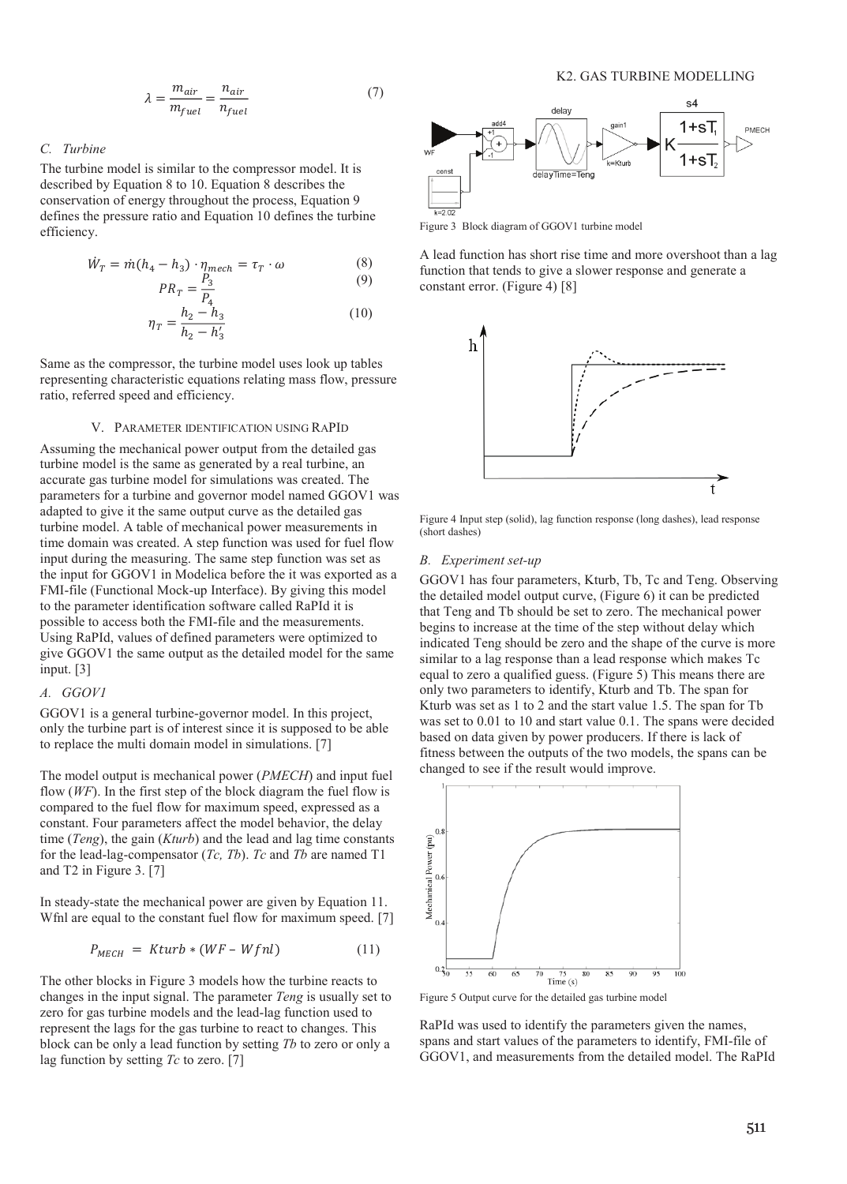$$
\lambda = \frac{m_{air}}{m_{fuel}} = \frac{n_{air}}{n_{fuel}} \tag{7}
$$

## *C. Turbine*

The turbine model is similar to the compressor model. It is described by Equation 8 to 10. Equation 8 describes the conservation of energy throughout the process, Equation 9 defines the pressure ratio and Equation 10 defines the turbine efficiency.

$$
\dot{W}_T = \dot{m}(h_4 - h_3) \cdot \eta_{mech} = \tau_T \cdot \omega \tag{8}
$$

$$
PR_T = \frac{P_3}{P_4}
$$
(9)  

$$
\eta_T = \frac{h_2 - h_3}{h_2 - h'_3}
$$
(10)

Same as the compressor, the turbine model uses look up tables representing characteristic equations relating mass flow, pressure ratio, referred speed and efficiency.

## V. PARAMETER IDENTIFICATION USING RAPID

Assuming the mechanical power output from the detailed gas turbine model is the same as generated by a real turbine, an accurate gas turbine model for simulations was created. The parameters for a turbine and governor model named GGOV1 was adapted to give it the same output curve as the detailed gas turbine model. A table of mechanical power measurements in time domain was created. A step function was used for fuel flow input during the measuring. The same step function was set as the input for GGOV1 in Modelica before the it was exported as a FMI-file (Functional Mock-up Interface). By giving this model to the parameter identification software called RaPId it is possible to access both the FMI-file and the measurements. Using RaPId, values of defined parameters were optimized to give GGOV1 the same output as the detailed model for the same input. [3]

#### *A. GGOV1*

GGOV1 is a general turbine-governor model. In this project, only the turbine part is of interest since it is supposed to be able to replace the multi domain model in simulations. [7]

The model output is mechanical power (*PMECH*) and input fuel flow (*WF*). In the first step of the block diagram the fuel flow is compared to the fuel flow for maximum speed, expressed as a constant. Four parameters affect the model behavior, the delay time (*Teng*), the gain (*Kturb*) and the lead and lag time constants for the lead-lag-compensator (*Tc, Tb*). *Tc* and *Tb* are named T1 and T2 in Figure 3. [7]

In steady-state the mechanical power are given by Equation 11. Wfnl are equal to the constant fuel flow for maximum speed. [7]

$$
P_{MECH} = Kturb * (WF - Wfnl) \tag{11}
$$

The other blocks in Figure 3 models how the turbine reacts to changes in the input signal. The parameter *Teng* is usually set to zero for gas turbine models and the lead-lag function used to represent the lags for the gas turbine to react to changes. This block can be only a lead function by setting *Tb* to zero or only a lag function by setting *Tc* to zero. [7]



Figure 3 Block diagram of GGOV1 turbine model

A lead function has short rise time and more overshoot than a lag function that tends to give a slower response and generate a constant error. (Figure 4) [8]



Figure 4 Input step (solid), lag function response (long dashes), lead response (short dashes)

#### *B. Experiment set-up*

GGOV1 has four parameters, Kturb, Tb, Tc and Teng. Observing the detailed model output curve, (Figure 6) it can be predicted that Teng and Tb should be set to zero. The mechanical power begins to increase at the time of the step without delay which indicated Teng should be zero and the shape of the curve is more similar to a lag response than a lead response which makes Tc equal to zero a qualified guess. (Figure 5) This means there are only two parameters to identify, Kturb and Tb. The span for Kturb was set as 1 to 2 and the start value 1.5. The span for Tb was set to 0.01 to 10 and start value 0.1. The spans were decided based on data given by power producers. If there is lack of fitness between the outputs of the two models, the spans can be changed to see if the result would improve.



Figure 5 Output curve for the detailed gas turbine model

RaPId was used to identify the parameters given the names, spans and start values of the parameters to identify, FMI-file of GGOV1, and measurements from the detailed model. The RaPId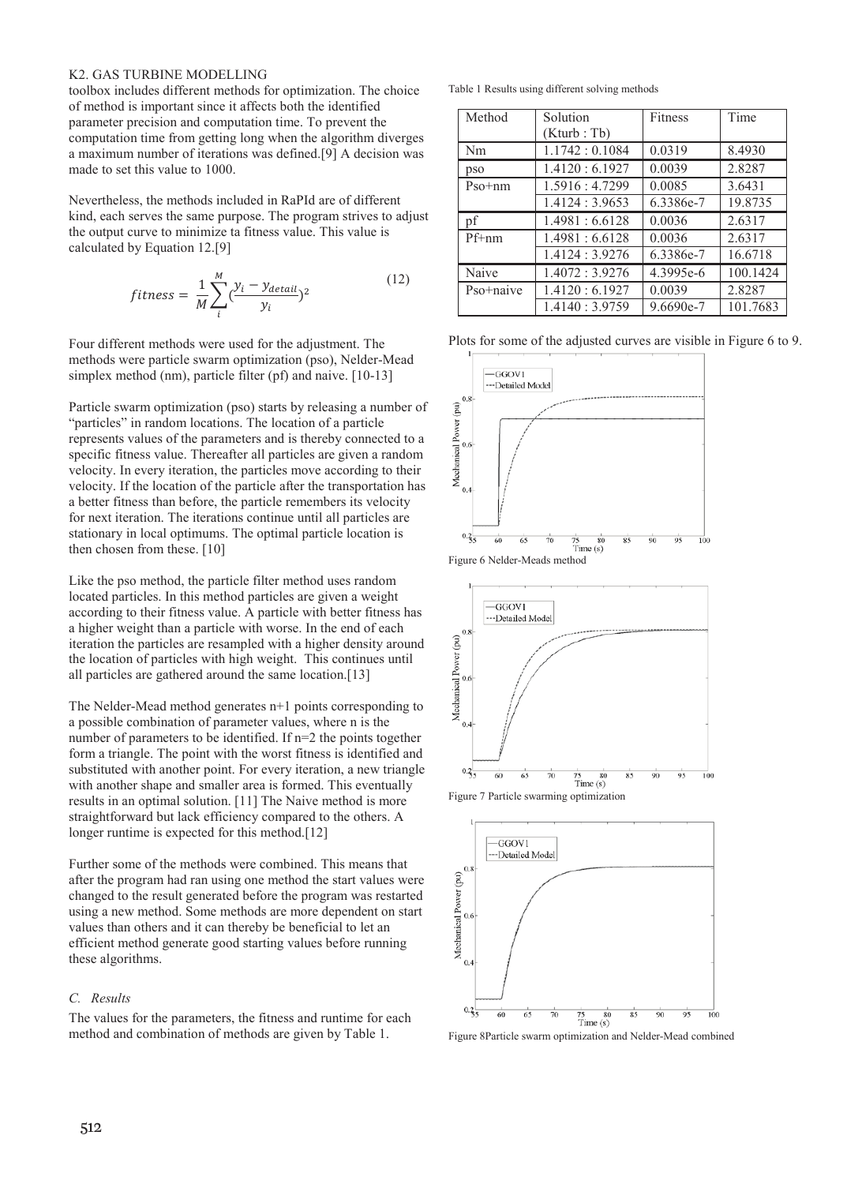#### K2. GAS TURBINE MODELLING

toolbox includes different methods for optimization. The choice of method is important since it affects both the identified parameter precision and computation time. To prevent the computation time from getting long when the algorithm diverges a maximum number of iterations was defined.[9] A decision was made to set this value to 1000.

Nevertheless, the methods included in RaPId are of different kind, each serves the same purpose. The program strives to adjust the output curve to minimize ta fitness value. This value is calculated by Equation 12.[9]

$$
fitness = \frac{1}{M} \sum_{i}^{M} \left( \frac{y_i - y_{detail}}{y_i} \right)^2 \tag{12}
$$

Four different methods were used for the adjustment. The methods were particle swarm optimization (pso), Nelder-Mead simplex method (nm), particle filter (pf) and naive. [10-13]

Particle swarm optimization (pso) starts by releasing a number of "particles" in random locations. The location of a particle represents values of the parameters and is thereby connected to a specific fitness value. Thereafter all particles are given a random velocity. In every iteration, the particles move according to their velocity. If the location of the particle after the transportation has a better fitness than before, the particle remembers its velocity for next iteration. The iterations continue until all particles are stationary in local optimums. The optimal particle location is then chosen from these. [10]

Like the pso method, the particle filter method uses random located particles. In this method particles are given a weight according to their fitness value. A particle with better fitness has a higher weight than a particle with worse. In the end of each iteration the particles are resampled with a higher density around the location of particles with high weight. This continues until all particles are gathered around the same location.[13]

The Nelder-Mead method generates n+1 points corresponding to a possible combination of parameter values, where n is the number of parameters to be identified. If n=2 the points together form a triangle. The point with the worst fitness is identified and substituted with another point. For every iteration, a new triangle with another shape and smaller area is formed. This eventually results in an optimal solution. [11] The Naive method is more straightforward but lack efficiency compared to the others. A longer runtime is expected for this method.[12]

Further some of the methods were combined. This means that after the program had ran using one method the start values were changed to the result generated before the program was restarted using a new method. Some methods are more dependent on start values than others and it can thereby be beneficial to let an efficient method generate good starting values before running these algorithms.

# *C. Results*

The values for the parameters, the fitness and runtime for each method and combination of methods are given by Table 1.

Table 1 Results using different solving methods

| Method    | Solution        | Fitness   | Time     |
|-----------|-----------------|-----------|----------|
|           | (Kturb : Tb)    |           |          |
| Nm        | 1.1742:0.1084   | 0.0319    | 8.4930   |
| pso       | 1.4120:6.1927   | 0.0039    | 2.8287   |
| $Pso+nm$  | 1.5916:4.7299   | 0.0085    | 3.6431   |
|           | 1.4124:3.9653   | 6.3386e-7 | 19.8735  |
| pf        | 1.4981 : 6.6128 | 0.0036    | 2.6317   |
| $Pf+nm$   | 1.4981 : 6.6128 | 0.0036    | 2.6317   |
|           | 1.4124 : 3.9276 | 6.3386e-7 | 16.6718  |
| Naive     | 1.4072 : 3.9276 | 4.3995e-6 | 100.1424 |
| Pso+naive | 1.4120:6.1927   | 0.0039    | 2.8287   |
|           | 1.4140 : 3.9759 | 9.6690e-7 | 101.7683 |

Plots for some of the adjusted curves are visible in Figure 6 to 9.









Figure 8Particle swarm optimization and Nelder-Mead combined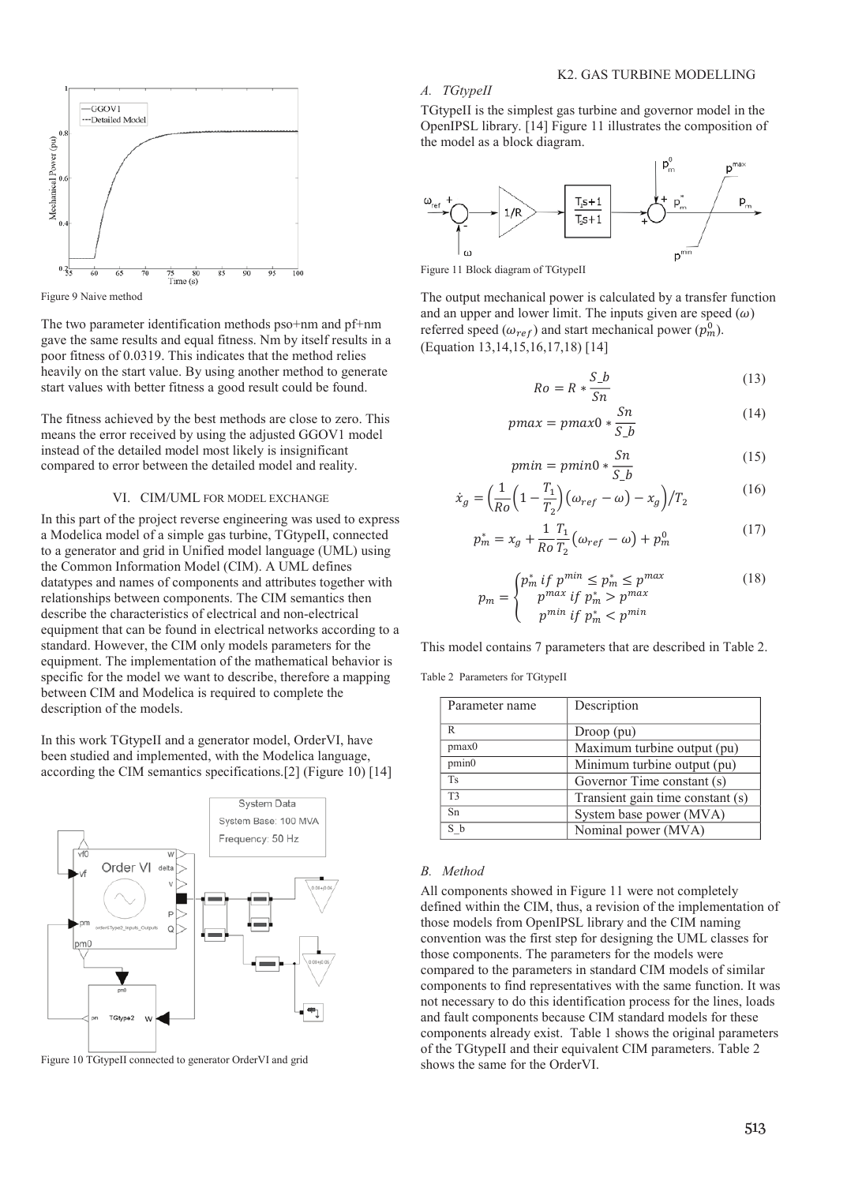

Figure 9 Naive method

The two parameter identification methods pso+nm and pf+nm gave the same results and equal fitness. Nm by itself results in a poor fitness of 0.0319. This indicates that the method relies heavily on the start value. By using another method to generate start values with better fitness a good result could be found.

The fitness achieved by the best methods are close to zero. This means the error received by using the adjusted GGOV1 model instead of the detailed model most likely is insignificant compared to error between the detailed model and reality.

#### VI. CIM/UML FOR MODEL EXCHANGE

In this part of the project reverse engineering was used to express a Modelica model of a simple gas turbine, TGtypeII, connected to a generator and grid in Unified model language (UML) using the Common Information Model (CIM). A UML defines datatypes and names of components and attributes together with relationships between components. The CIM semantics then describe the characteristics of electrical and non-electrical equipment that can be found in electrical networks according to a standard. However, the CIM only models parameters for the equipment. The implementation of the mathematical behavior is specific for the model we want to describe, therefore a mapping between CIM and Modelica is required to complete the description of the models.

In this work TGtypeII and a generator model, OrderVI, have been studied and implemented, with the Modelica language, according the CIM semantics specifications.[2] (Figure 10) [14]



Figure 10 TGtypeII connected to generator OrderVI and grid

#### K2. GAS TURBINE MODELLING

#### *A. TGtypeII*

TGtypeII is the simplest gas turbine and governor model in the OpenIPSL library. [14] Figure 11 illustrates the composition of the model as a block diagram.



Figure 11 Block diagram of TGtypeII

The output mechanical power is calculated by a transfer function and an upper and lower limit. The inputs given are speed  $(\omega)$ referred speed ( $\omega_{ref}$ ) and start mechanical power ( $p_m^0$ ). (Equation 13,14,15,16,17,18) [14]

$$
Ro = R * \frac{S_b}{Sn} \tag{13}
$$

$$
pmax = pmax0 * \frac{Sn}{S_b}
$$
 (14)

$$
pmin = pmin0 * \frac{Sn}{S_b}
$$
\n(15)

$$
\dot{x}_g = \left(\frac{1}{Ro}\left(1 - \frac{T_1}{T_2}\right)\left(\omega_{ref} - \omega\right) - x_g\right) / T_2\tag{16}
$$

$$
p_m^* = x_g + \frac{1}{R_o} \frac{T_1}{T_2} \left( \omega_{ref} - \omega \right) + p_m^0 \tag{17}
$$

$$
p_m = \begin{cases} p_m^* & \text{if } p^{min} \le p_m^* \le p^{max} \\ p^{max} & \text{if } p_m^* > p^{max} \\ p^{min} & \text{if } p_m^* < p^{min} \end{cases} \tag{18}
$$

This model contains 7 parameters that are described in Table 2.

Table 2 Parameters for TGtypeII

| Parameter name | Description                      |
|----------------|----------------------------------|
| R              | $Drop$ $(pu)$                    |
| pmax0          | Maximum turbine output (pu)      |
| pmin0          | Minimum turbine output (pu)      |
| <b>Ts</b>      | Governor Time constant (s)       |
| T3             | Transient gain time constant (s) |
| Sn             | System base power (MVA)          |
| S b            | Nominal power (MVA)              |

#### *B. Method*

All components showed in Figure 11 were not completely defined within the CIM, thus, a revision of the implementation of those models from OpenIPSL library and the CIM naming convention was the first step for designing the UML classes for those components. The parameters for the models were compared to the parameters in standard CIM models of similar components to find representatives with the same function. It was not necessary to do this identification process for the lines, loads and fault components because CIM standard models for these components already exist. Table 1 shows the original parameters of the TGtypeII and their equivalent CIM parameters. Table 2 shows the same for the OrderVI.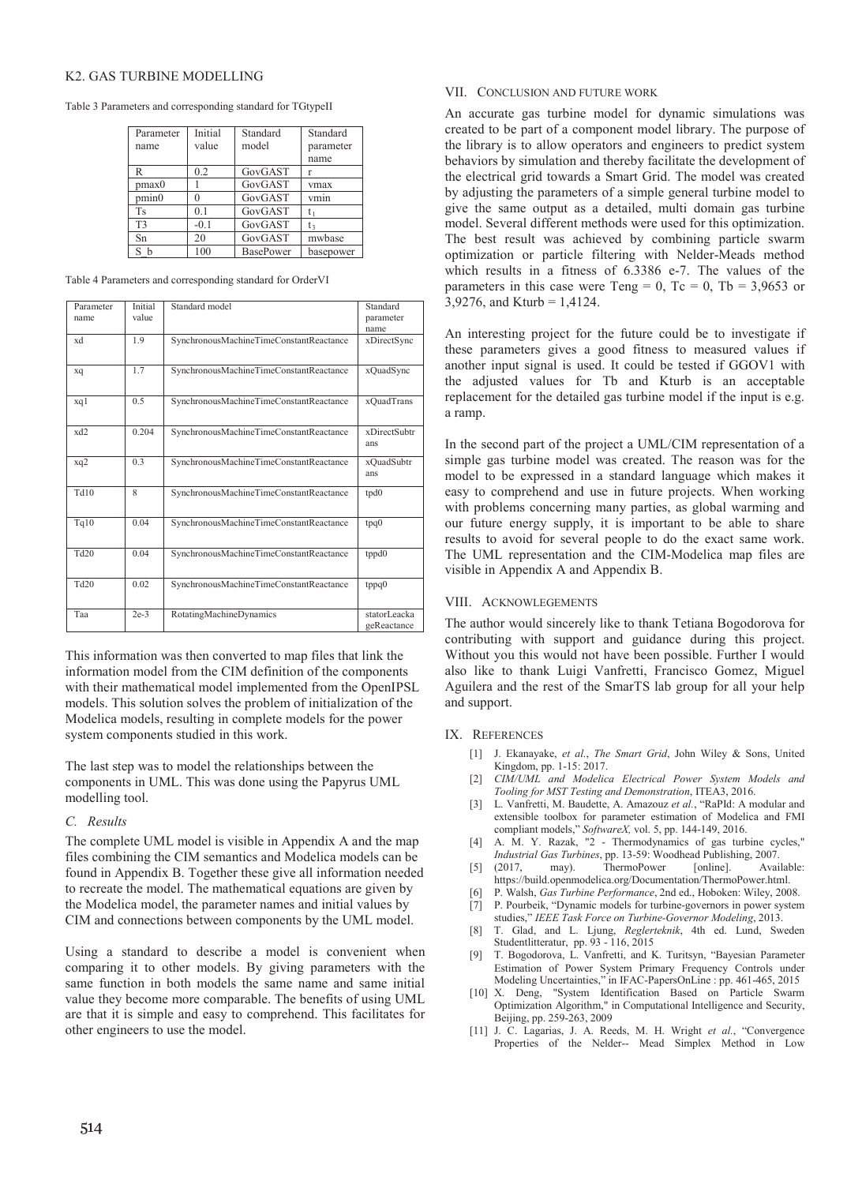# K2. GAS TURBINE MODELLING

Table 3 Parameters and corresponding standard for TGtypeII

| Parameter         | Initial        | Standard         | Standard  |
|-------------------|----------------|------------------|-----------|
| name              | value          | model            | parameter |
|                   |                |                  | name      |
| R                 | 0.2            | GovGAST          |           |
| pmax0             |                | GovGAST          | vmax      |
| pmin <sub>0</sub> |                | GovGAST          | vmin      |
| <b>Ts</b>         | 0 <sub>1</sub> | GovGAST          |           |
| T <sub>3</sub>    | $-0.1$         | GovGAST          | t٤        |
| Sn                | 20             | GovGAST          | mwbase    |
|                   | 100            | <b>BasePower</b> | basepower |

Table 4 Parameters and corresponding standard for OrderVI

| Parameter<br>name | Initial<br>value | Standard model                          | Standard<br>parameter<br>name |
|-------------------|------------------|-----------------------------------------|-------------------------------|
| xd                | 1.9              | SynchronousMachineTimeConstantReactance | xDirectSync                   |
| xq                | 1.7              | SynchronousMachineTimeConstantReactance | xQuadSync                     |
| xq1               | 0.5              | SynchronousMachineTimeConstantReactance | xQuadTrans                    |
| xd2               | 0.204            | SynchronousMachineTimeConstantReactance | xDirectSubtr<br>ans           |
| xq2               | 0 <sub>3</sub>   | SynchronousMachineTimeConstantReactance | xQuadSubtr<br>ans             |
| Td10              | 8                | SynchronousMachineTimeConstantReactance | tpd0                          |
| Tq10              | 0.04             | SynchronousMachineTimeConstantReactance | tpq0                          |
| Td20              | 0.04             | SynchronousMachineTimeConstantReactance | tppd0                         |
| Td20              | 0.02             | SynchronousMachineTimeConstantReactance | tppq0                         |
| Taa               | $2e-3$           | RotatingMachineDynamics                 | statorLeacka<br>geReactance   |

This information was then converted to map files that link the information model from the CIM definition of the components with their mathematical model implemented from the OpenIPSL models. This solution solves the problem of initialization of the Modelica models, resulting in complete models for the power system components studied in this work.

The last step was to model the relationships between the components in UML. This was done using the Papyrus UML modelling tool.

## *C. Results*

The complete UML model is visible in Appendix A and the map files combining the CIM semantics and Modelica models can be found in Appendix B. Together these give all information needed to recreate the model. The mathematical equations are given by the Modelica model, the parameter names and initial values by CIM and connections between components by the UML model.

Using a standard to describe a model is convenient when comparing it to other models. By giving parameters with the same function in both models the same name and same initial value they become more comparable. The benefits of using UML are that it is simple and easy to comprehend. This facilitates for other engineers to use the model.

# VII. CONCLUSION AND FUTURE WORK

An accurate gas turbine model for dynamic simulations was created to be part of a component model library. The purpose of the library is to allow operators and engineers to predict system behaviors by simulation and thereby facilitate the development of the electrical grid towards a Smart Grid. The model was created by adjusting the parameters of a simple general turbine model to give the same output as a detailed, multi domain gas turbine model. Several different methods were used for this optimization. The best result was achieved by combining particle swarm optimization or particle filtering with Nelder-Meads method which results in a fitness of 6.3386 e-7. The values of the parameters in this case were Teng = 0, Tc = 0, Tb = 3,9653 or 3,9276, and Kturb =  $1,4124$ .

An interesting project for the future could be to investigate if these parameters gives a good fitness to measured values if another input signal is used. It could be tested if GGOV1 with the adjusted values for Tb and Kturb is an acceptable replacement for the detailed gas turbine model if the input is e.g. a ramp.

In the second part of the project a UML/CIM representation of a simple gas turbine model was created. The reason was for the model to be expressed in a standard language which makes it easy to comprehend and use in future projects. When working with problems concerning many parties, as global warming and our future energy supply, it is important to be able to share results to avoid for several people to do the exact same work. The UML representation and the CIM-Modelica map files are visible in Appendix A and Appendix B.

# VIII. ACKNOWLEGEMENTS

The author would sincerely like to thank Tetiana Bogodorova for contributing with support and guidance during this project. Without you this would not have been possible. Further I would also like to thank Luigi Vanfretti, Francisco Gomez, Miguel Aguilera and the rest of the SmarTS lab group for all your help and support.

## IX. REFERENCES

- [1] J. Ekanayake, *et al.*, *The Smart Grid*, John Wiley & Sons, United Kingdom, pp. 1-15: 2017.
- [2] *CIM/UML and Modelica Electrical Power System Models and Tooling for MST Testing and Demonstration*, ITEA3, 2016.
- [3] L. Vanfretti, M. Baudette, A. Amazouz *et al.*, "RaPId: A modular and extensible toolbox for parameter estimation of Modelica and FMI compliant models," *SoftwareX,* vol. 5, pp. 144-149, 2016.
- [4] A. M. Y. Razak, "2 Thermodynamics of gas turbine cycles," *Industrial Gas Turbines*, pp. 13-59: Woodhead Publishing, 2007.
- $[5]$  (2017, may). ThermoPower https://build.openmodelica.org/Documentation/ThermoPower.html.
- [6] P. Walsh, *Gas Turbine Performance*, 2nd ed., Hoboken: Wiley, 2008. [7] P. Pourbeik, "Dynamic models for turbine-governors in power system
- studies," *IEEE Task Force on Turbine-Governor Modeling*, 2013.
- [8] T. Glad, and L. Ljung, *Reglerteknik*, 4th ed. Lund, Sweden Studentlitteratur, pp. 93 - 116, 2015
- [9] T. Bogodorova, L. Vanfretti, and K. Turitsyn, "Bayesian Parameter Estimation of Power System Primary Frequency Controls under Modeling Uncertainties," in IFAC-PapersOnLine : pp. 461-465, 2015
- [10] X. Deng, "System Identification Based on Particle Swarm Optimization Algorithm," in Computational Intelligence and Security, Beijing, pp. 259-263, 2009
- [11] J. C. Lagarias, J. A. Reeds, M. H. Wright *et al.*, "Convergence Properties of the Nelder-- Mead Simplex Method in Low